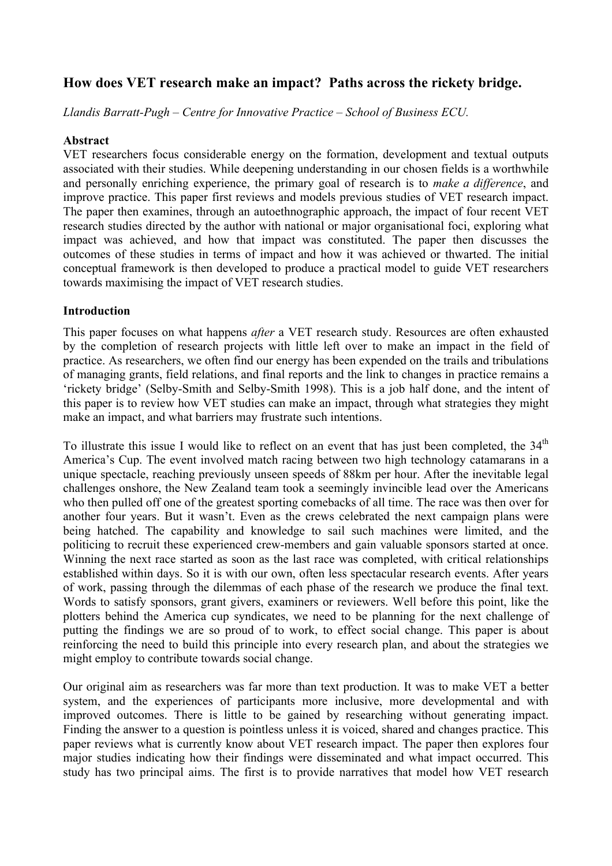# **How does VET research make an impact? Paths across the rickety bridge.**

*Llandis Barratt-Pugh – Centre for Innovative Practice – School of Business ECU.*

## **Abstract**

VET researchers focus considerable energy on the formation, development and textual outputs associated with their studies. While deepening understanding in our chosen fields is a worthwhile and personally enriching experience, the primary goal of research is to *make a difference*, and improve practice. This paper first reviews and models previous studies of VET research impact. The paper then examines, through an autoethnographic approach, the impact of four recent VET research studies directed by the author with national or major organisational foci, exploring what impact was achieved, and how that impact was constituted. The paper then discusses the outcomes of these studies in terms of impact and how it was achieved or thwarted. The initial conceptual framework is then developed to produce a practical model to guide VET researchers towards maximising the impact of VET research studies.

### **Introduction**

This paper focuses on what happens *after* a VET research study. Resources are often exhausted by the completion of research projects with little left over to make an impact in the field of practice. As researchers, we often find our energy has been expended on the trails and tribulations of managing grants, field relations, and final reports and the link to changes in practice remains a 'rickety bridge' (Selby-Smith and Selby-Smith 1998). This is a job half done, and the intent of this paper is to review how VET studies can make an impact, through what strategies they might make an impact, and what barriers may frustrate such intentions.

To illustrate this issue I would like to reflect on an event that has just been completed, the  $34<sup>th</sup>$ America's Cup. The event involved match racing between two high technology catamarans in a unique spectacle, reaching previously unseen speeds of 88km per hour. After the inevitable legal challenges onshore, the New Zealand team took a seemingly invincible lead over the Americans who then pulled off one of the greatest sporting comebacks of all time. The race was then over for another four years. But it wasn't. Even as the crews celebrated the next campaign plans were being hatched. The capability and knowledge to sail such machines were limited, and the politicing to recruit these experienced crew-members and gain valuable sponsors started at once. Winning the next race started as soon as the last race was completed, with critical relationships established within days. So it is with our own, often less spectacular research events. After years of work, passing through the dilemmas of each phase of the research we produce the final text. Words to satisfy sponsors, grant givers, examiners or reviewers. Well before this point, like the plotters behind the America cup syndicates, we need to be planning for the next challenge of putting the findings we are so proud of to work, to effect social change. This paper is about reinforcing the need to build this principle into every research plan, and about the strategies we might employ to contribute towards social change.

Our original aim as researchers was far more than text production. It was to make VET a better system, and the experiences of participants more inclusive, more developmental and with improved outcomes. There is little to be gained by researching without generating impact. Finding the answer to a question is pointless unless it is voiced, shared and changes practice. This paper reviews what is currently know about VET research impact. The paper then explores four major studies indicating how their findings were disseminated and what impact occurred. This study has two principal aims. The first is to provide narratives that model how VET research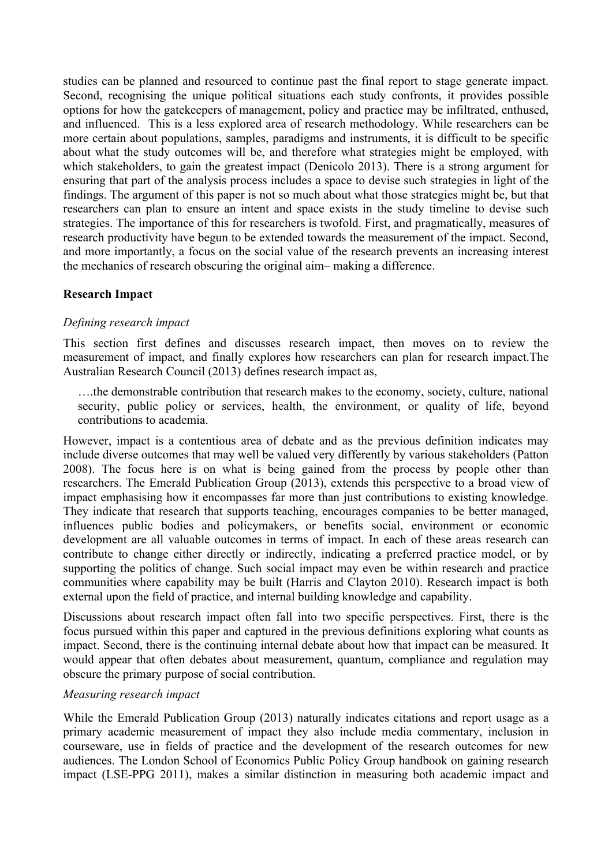studies can be planned and resourced to continue past the final report to stage generate impact. Second, recognising the unique political situations each study confronts, it provides possible options for how the gatekeepers of management, policy and practice may be infiltrated, enthused, and influenced. This is a less explored area of research methodology. While researchers can be more certain about populations, samples, paradigms and instruments, it is difficult to be specific about what the study outcomes will be, and therefore what strategies might be employed, with which stakeholders, to gain the greatest impact (Denicolo 2013). There is a strong argument for ensuring that part of the analysis process includes a space to devise such strategies in light of the findings. The argument of this paper is not so much about what those strategies might be, but that researchers can plan to ensure an intent and space exists in the study timeline to devise such strategies. The importance of this for researchers is twofold. First, and pragmatically, measures of research productivity have begun to be extended towards the measurement of the impact. Second, and more importantly, a focus on the social value of the research prevents an increasing interest the mechanics of research obscuring the original aim– making a difference.

# **Research Impact**

#### *Defining research impact*

This section first defines and discusses research impact, then moves on to review the measurement of impact, and finally explores how researchers can plan for research impact.The Australian Research Council (2013) defines research impact as,

….the demonstrable contribution that research makes to the economy, society, culture, national security, public policy or services, health, the environment, or quality of life, beyond contributions to academia.

However, impact is a contentious area of debate and as the previous definition indicates may include diverse outcomes that may well be valued very differently by various stakeholders (Patton 2008). The focus here is on what is being gained from the process by people other than researchers. The Emerald Publication Group (2013), extends this perspective to a broad view of impact emphasising how it encompasses far more than just contributions to existing knowledge. They indicate that research that supports teaching, encourages companies to be better managed, influences public bodies and policymakers, or benefits social, environment or economic development are all valuable outcomes in terms of impact. In each of these areas research can contribute to change either directly or indirectly, indicating a preferred practice model, or by supporting the politics of change. Such social impact may even be within research and practice communities where capability may be built (Harris and Clayton 2010). Research impact is both external upon the field of practice, and internal building knowledge and capability.

Discussions about research impact often fall into two specific perspectives. First, there is the focus pursued within this paper and captured in the previous definitions exploring what counts as impact. Second, there is the continuing internal debate about how that impact can be measured. It would appear that often debates about measurement, quantum, compliance and regulation may obscure the primary purpose of social contribution.

#### *Measuring research impact*

While the Emerald Publication Group (2013) naturally indicates citations and report usage as a primary academic measurement of impact they also include media commentary, inclusion in courseware, use in fields of practice and the development of the research outcomes for new audiences. The London School of Economics Public Policy Group handbook on gaining research impact (LSE-PPG 2011), makes a similar distinction in measuring both academic impact and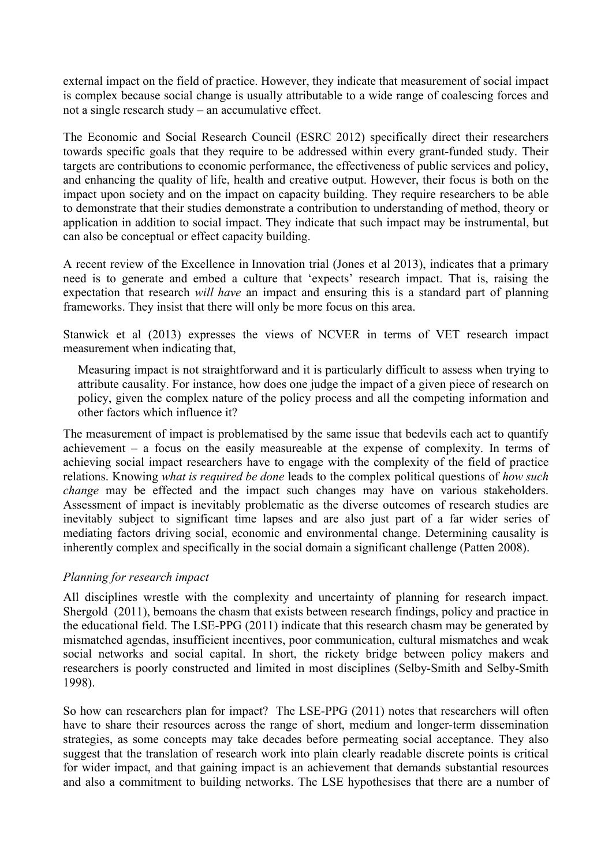external impact on the field of practice. However, they indicate that measurement of social impact is complex because social change is usually attributable to a wide range of coalescing forces and not a single research study – an accumulative effect.

The Economic and Social Research Council (ESRC 2012) specifically direct their researchers towards specific goals that they require to be addressed within every grant-funded study. Their targets are contributions to economic performance, the effectiveness of public services and policy, and enhancing the quality of life, health and creative output. However, their focus is both on the impact upon society and on the impact on capacity building. They require researchers to be able to demonstrate that their studies demonstrate a contribution to understanding of method, theory or application in addition to social impact. They indicate that such impact may be instrumental, but can also be conceptual or effect capacity building.

A recent review of the Excellence in Innovation trial (Jones et al 2013), indicates that a primary need is to generate and embed a culture that 'expects' research impact. That is, raising the expectation that research *will have* an impact and ensuring this is a standard part of planning frameworks. They insist that there will only be more focus on this area.

Stanwick et al (2013) expresses the views of NCVER in terms of VET research impact measurement when indicating that,

Measuring impact is not straightforward and it is particularly difficult to assess when trying to attribute causality. For instance, how does one judge the impact of a given piece of research on policy, given the complex nature of the policy process and all the competing information and other factors which influence it?

The measurement of impact is problematised by the same issue that bedevils each act to quantify achievement – a focus on the easily measureable at the expense of complexity. In terms of achieving social impact researchers have to engage with the complexity of the field of practice relations. Knowing *what is required be done* leads to the complex political questions of *how such change* may be effected and the impact such changes may have on various stakeholders. Assessment of impact is inevitably problematic as the diverse outcomes of research studies are inevitably subject to significant time lapses and are also just part of a far wider series of mediating factors driving social, economic and environmental change. Determining causality is inherently complex and specifically in the social domain a significant challenge (Patten 2008).

# *Planning for research impact*

All disciplines wrestle with the complexity and uncertainty of planning for research impact. Shergold (2011), bemoans the chasm that exists between research findings, policy and practice in the educational field. The LSE-PPG (2011) indicate that this research chasm may be generated by mismatched agendas, insufficient incentives, poor communication, cultural mismatches and weak social networks and social capital. In short, the rickety bridge between policy makers and researchers is poorly constructed and limited in most disciplines (Selby-Smith and Selby-Smith 1998).

So how can researchers plan for impact? The LSE-PPG (2011) notes that researchers will often have to share their resources across the range of short, medium and longer-term dissemination strategies, as some concepts may take decades before permeating social acceptance. They also suggest that the translation of research work into plain clearly readable discrete points is critical for wider impact, and that gaining impact is an achievement that demands substantial resources and also a commitment to building networks. The LSE hypothesises that there are a number of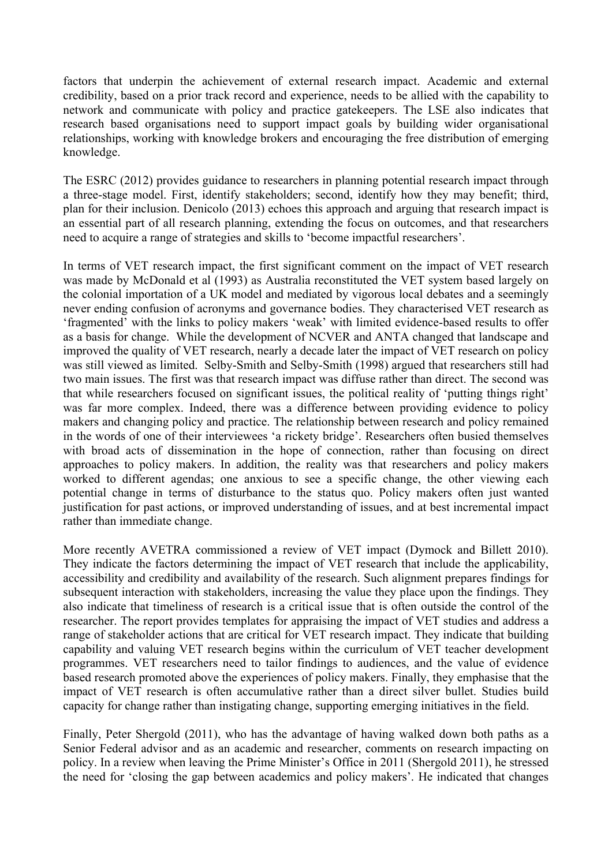factors that underpin the achievement of external research impact. Academic and external credibility, based on a prior track record and experience, needs to be allied with the capability to network and communicate with policy and practice gatekeepers. The LSE also indicates that research based organisations need to support impact goals by building wider organisational relationships, working with knowledge brokers and encouraging the free distribution of emerging knowledge.

The ESRC (2012) provides guidance to researchers in planning potential research impact through a three-stage model. First, identify stakeholders; second, identify how they may benefit; third, plan for their inclusion. Denicolo (2013) echoes this approach and arguing that research impact is an essential part of all research planning, extending the focus on outcomes, and that researchers need to acquire a range of strategies and skills to 'become impactful researchers'.

In terms of VET research impact, the first significant comment on the impact of VET research was made by McDonald et al (1993) as Australia reconstituted the VET system based largely on the colonial importation of a UK model and mediated by vigorous local debates and a seemingly never ending confusion of acronyms and governance bodies. They characterised VET research as 'fragmented' with the links to policy makers 'weak' with limited evidence-based results to offer as a basis for change. While the development of NCVER and ANTA changed that landscape and improved the quality of VET research, nearly a decade later the impact of VET research on policy was still viewed as limited. Selby-Smith and Selby-Smith (1998) argued that researchers still had two main issues. The first was that research impact was diffuse rather than direct. The second was that while researchers focused on significant issues, the political reality of 'putting things right' was far more complex. Indeed, there was a difference between providing evidence to policy makers and changing policy and practice. The relationship between research and policy remained in the words of one of their interviewees 'a rickety bridge'. Researchers often busied themselves with broad acts of dissemination in the hope of connection, rather than focusing on direct approaches to policy makers. In addition, the reality was that researchers and policy makers worked to different agendas; one anxious to see a specific change, the other viewing each potential change in terms of disturbance to the status quo. Policy makers often just wanted justification for past actions, or improved understanding of issues, and at best incremental impact rather than immediate change.

More recently AVETRA commissioned a review of VET impact (Dymock and Billett 2010). They indicate the factors determining the impact of VET research that include the applicability, accessibility and credibility and availability of the research. Such alignment prepares findings for subsequent interaction with stakeholders, increasing the value they place upon the findings. They also indicate that timeliness of research is a critical issue that is often outside the control of the researcher. The report provides templates for appraising the impact of VET studies and address a range of stakeholder actions that are critical for VET research impact. They indicate that building capability and valuing VET research begins within the curriculum of VET teacher development programmes. VET researchers need to tailor findings to audiences, and the value of evidence based research promoted above the experiences of policy makers. Finally, they emphasise that the impact of VET research is often accumulative rather than a direct silver bullet. Studies build capacity for change rather than instigating change, supporting emerging initiatives in the field.

Finally, Peter Shergold (2011), who has the advantage of having walked down both paths as a Senior Federal advisor and as an academic and researcher, comments on research impacting on policy. In a review when leaving the Prime Minister's Office in 2011 (Shergold 2011), he stressed the need for 'closing the gap between academics and policy makers'. He indicated that changes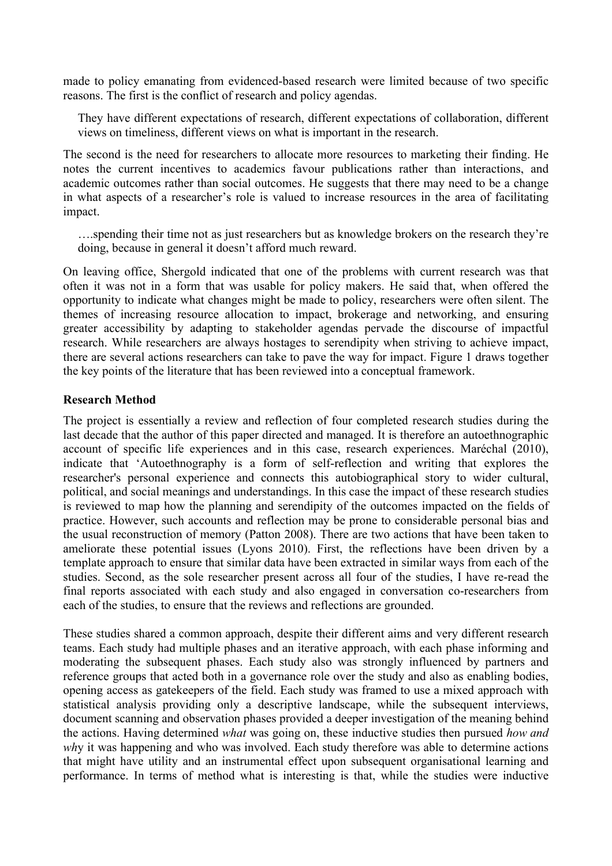made to policy emanating from evidenced-based research were limited because of two specific reasons. The first is the conflict of research and policy agendas.

They have different expectations of research, different expectations of collaboration, different views on timeliness, different views on what is important in the research.

The second is the need for researchers to allocate more resources to marketing their finding. He notes the current incentives to academics favour publications rather than interactions, and academic outcomes rather than social outcomes. He suggests that there may need to be a change in what aspects of a researcher's role is valued to increase resources in the area of facilitating impact.

….spending their time not as just researchers but as knowledge brokers on the research they're doing, because in general it doesn't afford much reward.

On leaving office, Shergold indicated that one of the problems with current research was that often it was not in a form that was usable for policy makers. He said that, when offered the opportunity to indicate what changes might be made to policy, researchers were often silent. The themes of increasing resource allocation to impact, brokerage and networking, and ensuring greater accessibility by adapting to stakeholder agendas pervade the discourse of impactful research. While researchers are always hostages to serendipity when striving to achieve impact, there are several actions researchers can take to pave the way for impact. Figure 1 draws together the key points of the literature that has been reviewed into a conceptual framework.

### **Research Method**

The project is essentially a review and reflection of four completed research studies during the last decade that the author of this paper directed and managed. It is therefore an autoethnographic account of specific life experiences and in this case, research experiences. Maréchal (2010), indicate that 'Autoethnography is a form of self-reflection and writing that explores the researcher's personal experience and connects this autobiographical story to wider cultural, political, and social meanings and understandings. In this case the impact of these research studies is reviewed to map how the planning and serendipity of the outcomes impacted on the fields of practice. However, such accounts and reflection may be prone to considerable personal bias and the usual reconstruction of memory (Patton 2008). There are two actions that have been taken to ameliorate these potential issues (Lyons 2010). First, the reflections have been driven by a template approach to ensure that similar data have been extracted in similar ways from each of the studies. Second, as the sole researcher present across all four of the studies, I have re-read the final reports associated with each study and also engaged in conversation co-researchers from each of the studies, to ensure that the reviews and reflections are grounded.

These studies shared a common approach, despite their different aims and very different research teams. Each study had multiple phases and an iterative approach, with each phase informing and moderating the subsequent phases. Each study also was strongly influenced by partners and reference groups that acted both in a governance role over the study and also as enabling bodies, opening access as gatekeepers of the field. Each study was framed to use a mixed approach with statistical analysis providing only a descriptive landscape, while the subsequent interviews, document scanning and observation phases provided a deeper investigation of the meaning behind the actions. Having determined *what* was going on, these inductive studies then pursued *how and wh*y it was happening and who was involved. Each study therefore was able to determine actions that might have utility and an instrumental effect upon subsequent organisational learning and performance. In terms of method what is interesting is that, while the studies were inductive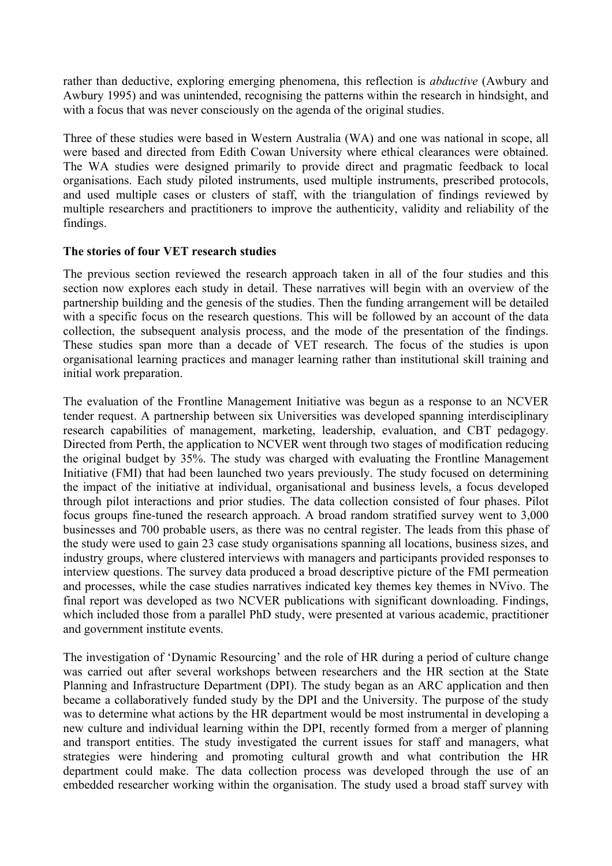rather than deductive, exploring emerging phenomena, this reflection is *abductive* (Awbury and Awbury 1995) and was unintended, recognising the patterns within the research in hindsight, and with a focus that was never consciously on the agenda of the original studies.

Three of these studies were based in Western Australia (WA) and one was national in scope, all were based and directed from Edith Cowan University where ethical clearances were obtained. The WA studies were designed primarily to provide direct and pragmatic feedback to local organisations. Each study piloted instruments, used multiple instruments, prescribed protocols, and used multiple cases or clusters of staff, with the triangulation of findings reviewed by multiple researchers and practitioners to improve the authenticity, validity and reliability of the findings.

### **The stories of four VET research studies**

The previous section reviewed the research approach taken in all of the four studies and this section now explores each study in detail. These narratives will begin with an overview of the partnership building and the genesis of the studies. Then the funding arrangement will be detailed with a specific focus on the research questions. This will be followed by an account of the data collection, the subsequent analysis process, and the mode of the presentation of the findings. These studies span more than a decade of VET research. The focus of the studies is upon organisational learning practices and manager learning rather than institutional skill training and initial work preparation.

The evaluation of the Frontline Management Initiative was begun as a response to an NCVER tender request. A partnership between six Universities was developed spanning interdisciplinary research capabilities of management, marketing, leadership, evaluation, and CBT pedagogy. Directed from Perth, the application to NCVER went through two stages of modification reducing the original budget by 35%. The study was charged with evaluating the Frontline Management Initiative (FMI) that had been launched two years previously. The study focused on determining the impact of the initiative at individual, organisational and business levels, a focus developed through pilot interactions and prior studies. The data collection consisted of four phases. Pilot focus groups fine-tuned the research approach. A broad random stratified survey went to 3,000 businesses and 700 probable users, as there was no central register. The leads from this phase of the study were used to gain 23 case study organisations spanning all locations, business sizes, and industry groups, where clustered interviews with managers and participants provided responses to interview questions. The survey data produced a broad descriptive picture of the FMI permeation and processes, while the case studies narratives indicated key themes key themes in NVivo. The final report was developed as two NCVER publications with significant downloading. Findings, which included those from a parallel PhD study, were presented at various academic, practitioner and government institute events.

The investigation of 'Dynamic Resourcing' and the role of HR during a period of culture change was carried out after several workshops between researchers and the HR section at the State Planning and Infrastructure Department (DPI). The study began as an ARC application and then became a collaboratively funded study by the DPI and the University. The purpose of the study was to determine what actions by the HR department would be most instrumental in developing a new culture and individual learning within the DPI, recently formed from a merger of planning and transport entities. The study investigated the current issues for staff and managers, what strategies were hindering and promoting cultural growth and what contribution the HR department could make. The data collection process was developed through the use of an embedded researcher working within the organisation. The study used a broad staff survey with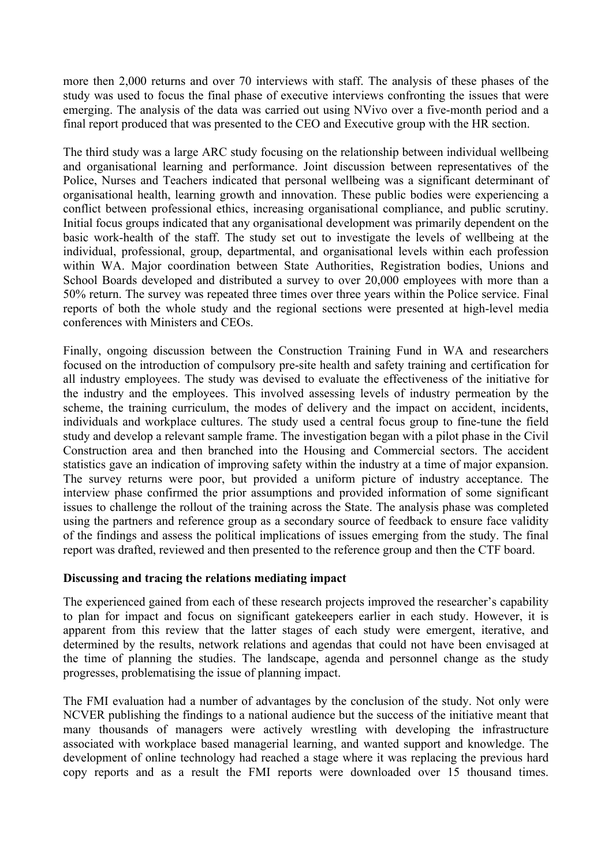more then 2,000 returns and over 70 interviews with staff. The analysis of these phases of the study was used to focus the final phase of executive interviews confronting the issues that were emerging. The analysis of the data was carried out using NVivo over a five-month period and a final report produced that was presented to the CEO and Executive group with the HR section.

The third study was a large ARC study focusing on the relationship between individual wellbeing and organisational learning and performance. Joint discussion between representatives of the Police, Nurses and Teachers indicated that personal wellbeing was a significant determinant of organisational health, learning growth and innovation. These public bodies were experiencing a conflict between professional ethics, increasing organisational compliance, and public scrutiny. Initial focus groups indicated that any organisational development was primarily dependent on the basic work-health of the staff. The study set out to investigate the levels of wellbeing at the individual, professional, group, departmental, and organisational levels within each profession within WA. Major coordination between State Authorities, Registration bodies, Unions and School Boards developed and distributed a survey to over 20,000 employees with more than a 50% return. The survey was repeated three times over three years within the Police service. Final reports of both the whole study and the regional sections were presented at high-level media conferences with Ministers and CEOs.

Finally, ongoing discussion between the Construction Training Fund in WA and researchers focused on the introduction of compulsory pre-site health and safety training and certification for all industry employees. The study was devised to evaluate the effectiveness of the initiative for the industry and the employees. This involved assessing levels of industry permeation by the scheme, the training curriculum, the modes of delivery and the impact on accident, incidents, individuals and workplace cultures. The study used a central focus group to fine-tune the field study and develop a relevant sample frame. The investigation began with a pilot phase in the Civil Construction area and then branched into the Housing and Commercial sectors. The accident statistics gave an indication of improving safety within the industry at a time of major expansion. The survey returns were poor, but provided a uniform picture of industry acceptance. The interview phase confirmed the prior assumptions and provided information of some significant issues to challenge the rollout of the training across the State. The analysis phase was completed using the partners and reference group as a secondary source of feedback to ensure face validity of the findings and assess the political implications of issues emerging from the study. The final report was drafted, reviewed and then presented to the reference group and then the CTF board.

#### **Discussing and tracing the relations mediating impact**

The experienced gained from each of these research projects improved the researcher's capability to plan for impact and focus on significant gatekeepers earlier in each study. However, it is apparent from this review that the latter stages of each study were emergent, iterative, and determined by the results, network relations and agendas that could not have been envisaged at the time of planning the studies. The landscape, agenda and personnel change as the study progresses, problematising the issue of planning impact.

The FMI evaluation had a number of advantages by the conclusion of the study. Not only were NCVER publishing the findings to a national audience but the success of the initiative meant that many thousands of managers were actively wrestling with developing the infrastructure associated with workplace based managerial learning, and wanted support and knowledge. The development of online technology had reached a stage where it was replacing the previous hard copy reports and as a result the FMI reports were downloaded over 15 thousand times.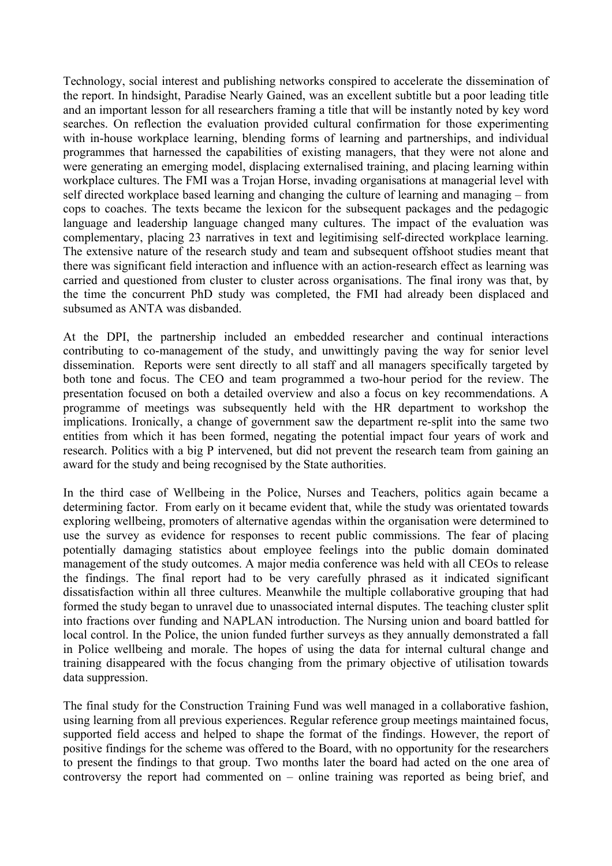Technology, social interest and publishing networks conspired to accelerate the dissemination of the report. In hindsight, Paradise Nearly Gained, was an excellent subtitle but a poor leading title and an important lesson for all researchers framing a title that will be instantly noted by key word searches. On reflection the evaluation provided cultural confirmation for those experimenting with in-house workplace learning, blending forms of learning and partnerships, and individual programmes that harnessed the capabilities of existing managers, that they were not alone and were generating an emerging model, displacing externalised training, and placing learning within workplace cultures. The FMI was a Trojan Horse, invading organisations at managerial level with self directed workplace based learning and changing the culture of learning and managing – from cops to coaches. The texts became the lexicon for the subsequent packages and the pedagogic language and leadership language changed many cultures. The impact of the evaluation was complementary, placing 23 narratives in text and legitimising self-directed workplace learning. The extensive nature of the research study and team and subsequent offshoot studies meant that there was significant field interaction and influence with an action-research effect as learning was carried and questioned from cluster to cluster across organisations. The final irony was that, by the time the concurrent PhD study was completed, the FMI had already been displaced and subsumed as ANTA was disbanded.

At the DPI, the partnership included an embedded researcher and continual interactions contributing to co-management of the study, and unwittingly paving the way for senior level dissemination. Reports were sent directly to all staff and all managers specifically targeted by both tone and focus. The CEO and team programmed a two-hour period for the review. The presentation focused on both a detailed overview and also a focus on key recommendations. A programme of meetings was subsequently held with the HR department to workshop the implications. Ironically, a change of government saw the department re-split into the same two entities from which it has been formed, negating the potential impact four years of work and research. Politics with a big P intervened, but did not prevent the research team from gaining an award for the study and being recognised by the State authorities.

In the third case of Wellbeing in the Police, Nurses and Teachers, politics again became a determining factor. From early on it became evident that, while the study was orientated towards exploring wellbeing, promoters of alternative agendas within the organisation were determined to use the survey as evidence for responses to recent public commissions. The fear of placing potentially damaging statistics about employee feelings into the public domain dominated management of the study outcomes. A major media conference was held with all CEOs to release the findings. The final report had to be very carefully phrased as it indicated significant dissatisfaction within all three cultures. Meanwhile the multiple collaborative grouping that had formed the study began to unravel due to unassociated internal disputes. The teaching cluster split into fractions over funding and NAPLAN introduction. The Nursing union and board battled for local control. In the Police, the union funded further surveys as they annually demonstrated a fall in Police wellbeing and morale. The hopes of using the data for internal cultural change and training disappeared with the focus changing from the primary objective of utilisation towards data suppression.

The final study for the Construction Training Fund was well managed in a collaborative fashion, using learning from all previous experiences. Regular reference group meetings maintained focus, supported field access and helped to shape the format of the findings. However, the report of positive findings for the scheme was offered to the Board, with no opportunity for the researchers to present the findings to that group. Two months later the board had acted on the one area of controversy the report had commented on – online training was reported as being brief, and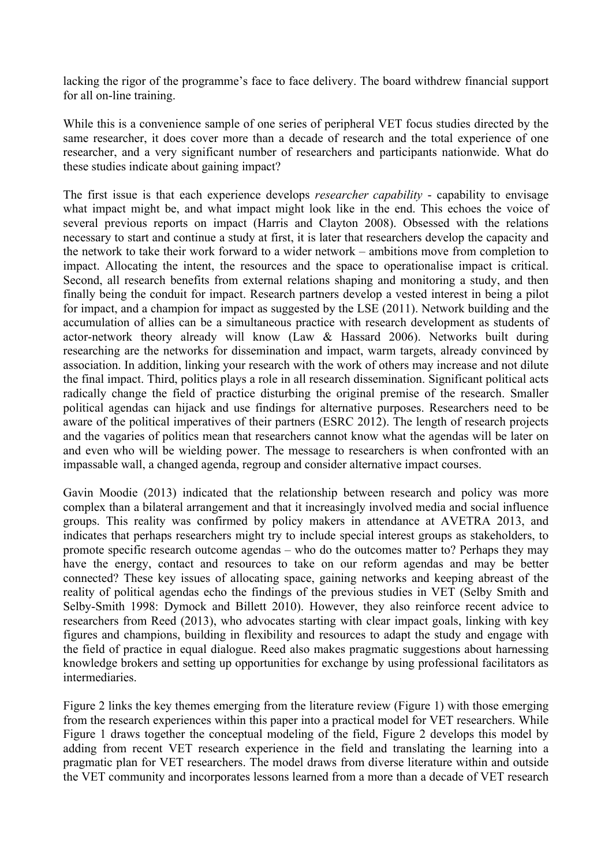lacking the rigor of the programme's face to face delivery. The board withdrew financial support for all on-line training.

While this is a convenience sample of one series of peripheral VET focus studies directed by the same researcher, it does cover more than a decade of research and the total experience of one researcher, and a very significant number of researchers and participants nationwide. What do these studies indicate about gaining impact?

The first issue is that each experience develops *researcher capability* - capability to envisage what impact might be, and what impact might look like in the end. This echoes the voice of several previous reports on impact (Harris and Clayton 2008). Obsessed with the relations necessary to start and continue a study at first, it is later that researchers develop the capacity and the network to take their work forward to a wider network – ambitions move from completion to impact. Allocating the intent, the resources and the space to operationalise impact is critical. Second, all research benefits from external relations shaping and monitoring a study, and then finally being the conduit for impact. Research partners develop a vested interest in being a pilot for impact, and a champion for impact as suggested by the LSE (2011). Network building and the accumulation of allies can be a simultaneous practice with research development as students of actor-network theory already will know (Law & Hassard 2006). Networks built during researching are the networks for dissemination and impact, warm targets, already convinced by association. In addition, linking your research with the work of others may increase and not dilute the final impact. Third, politics plays a role in all research dissemination. Significant political acts radically change the field of practice disturbing the original premise of the research. Smaller political agendas can hijack and use findings for alternative purposes. Researchers need to be aware of the political imperatives of their partners (ESRC 2012). The length of research projects and the vagaries of politics mean that researchers cannot know what the agendas will be later on and even who will be wielding power. The message to researchers is when confronted with an impassable wall, a changed agenda, regroup and consider alternative impact courses.

Gavin Moodie (2013) indicated that the relationship between research and policy was more complex than a bilateral arrangement and that it increasingly involved media and social influence groups. This reality was confirmed by policy makers in attendance at AVETRA 2013, and indicates that perhaps researchers might try to include special interest groups as stakeholders, to promote specific research outcome agendas – who do the outcomes matter to? Perhaps they may have the energy, contact and resources to take on our reform agendas and may be better connected? These key issues of allocating space, gaining networks and keeping abreast of the reality of political agendas echo the findings of the previous studies in VET (Selby Smith and Selby-Smith 1998: Dymock and Billett 2010). However, they also reinforce recent advice to researchers from Reed (2013), who advocates starting with clear impact goals, linking with key figures and champions, building in flexibility and resources to adapt the study and engage with the field of practice in equal dialogue. Reed also makes pragmatic suggestions about harnessing knowledge brokers and setting up opportunities for exchange by using professional facilitators as intermediaries.

Figure 2 links the key themes emerging from the literature review (Figure 1) with those emerging from the research experiences within this paper into a practical model for VET researchers. While Figure 1 draws together the conceptual modeling of the field, Figure 2 develops this model by adding from recent VET research experience in the field and translating the learning into a pragmatic plan for VET researchers. The model draws from diverse literature within and outside the VET community and incorporates lessons learned from a more than a decade of VET research